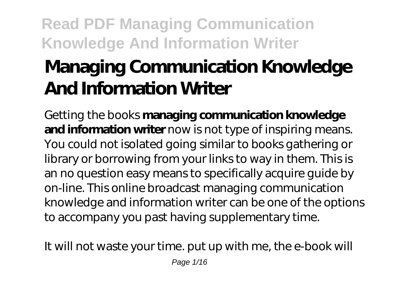# **Managing Communication Knowledge And Information Writer**

Getting the books **managing communication knowledge and information writer** now is not type of inspiring means. You could not isolated going similar to books gathering or library or borrowing from your links to way in them. This is an no question easy means to specifically acquire guide by on-line. This online broadcast managing communication knowledge and information writer can be one of the options to accompany you past having supplementary time.

It will not waste your time. put up with me, the e-book will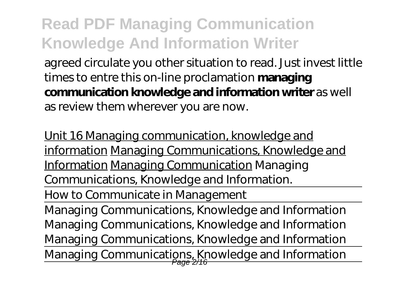agreed circulate you other situation to read. Just invest little times to entre this on-line proclamation **managing communication knowledge and information writer** as well as review them wherever you are now.

Unit 16 Managing communication, knowledge and information Managing Communications, Knowledge and Information Managing Communication Managing Communications, Knowledge and Information.

How to Communicate in Management

Managing Communications, Knowledge and Information *Managing Communications, Knowledge and Information Managing Communications, Knowledge and Information* Managing Communications, Knowledge and Information Page 2/16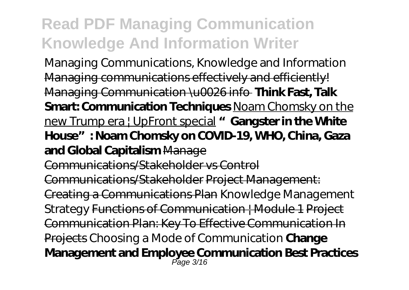Managing Communications, Knowledge and Information Managing communications effectively and efficiently! Managing Communication \u0026 info **Think Fast, Talk Smart: Communication Techniques** Noam Chomsky on the new Trump era | UpFront special **"Gangster in the White House": Noam Chomsky on COVID-19, WHO, China, Gaza and Global Capitalism** Manage Communications/Stakeholder vs Control

Communications/Stakeholder Project Management: Creating a Communications Plan *Knowledge Management Strategy* Functions of Communication | Module 1 Project Communication Plan: Key To Effective Communication In Projects Choosing a Mode of Communication **Change Management and Employee Communication Best Practices** Page 3/16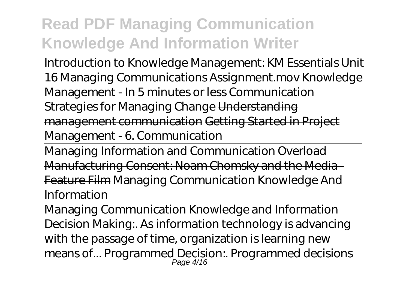Introduction to Knowledge Management: KM Essentials *Unit 16 Managing Communications Assignment.mov Knowledge Management - In 5 minutes or less* Communication Strategies for Managing Change Understanding management communication Getting Started in Project Management - 6. Communication

Managing Information and Communication Overload Manufacturing Consent: Noam Chomsky and the Media - Feature Film Managing Communication Knowledge And Information

Managing Communication Knowledge and Information Decision Making:. As information technology is advancing with the passage of time, organization is learning new means of... Programmed Decision:. Programmed decisions Page 4/16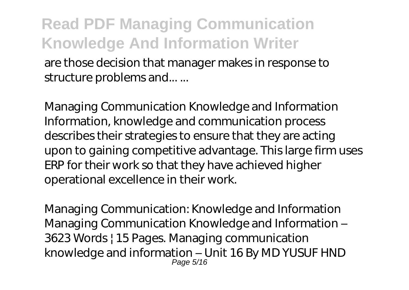are those decision that manager makes in response to structure problems and... ...

Managing Communication Knowledge and Information Information, knowledge and communication process describes their strategies to ensure that they are acting upon to gaining competitive advantage. This large firm uses ERP for their work so that they have achieved higher operational excellence in their work.

Managing Communication: Knowledge and Information Managing Communication Knowledge and Information – 3623 Words | 15 Pages. Managing communication knowledge and information – Unit 16 By MD YUSUF HND Page 5/16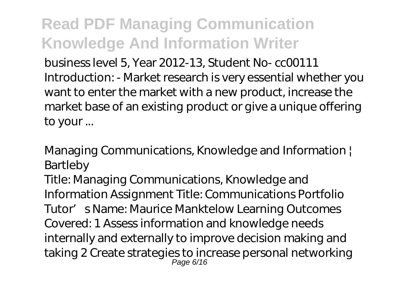business level 5, Year 2012-13, Student No- cc00111 Introduction: - Market research is very essential whether you want to enter the market with a new product, increase the market base of an existing product or give a unique offering to your ...

Managing Communications, Knowledge and Information | Bartleby

Title: Managing Communications, Knowledge and Information Assignment Title: Communications Portfolio Tutor' s Name: Maurice Manktelow Learning Outcomes Covered: 1 Assess information and knowledge needs internally and externally to improve decision making and taking 2 Create strategies to increase personal networking Page 6/16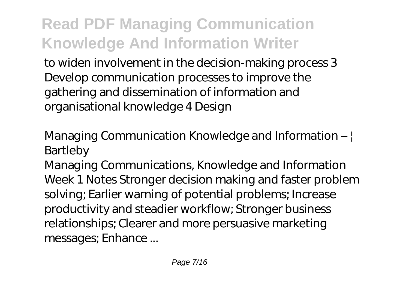to widen involvement in the decision-making process 3 Develop communication processes to improve the gathering and dissemination of information and organisational knowledge 4 Design

Managing Communication Knowledge and Information – | Bartleby

Managing Communications, Knowledge and Information Week 1 Notes Stronger decision making and faster problem solving; Earlier warning of potential problems; Increase productivity and steadier workflow; Stronger business relationships; Clearer and more persuasive marketing messages; Enhance ...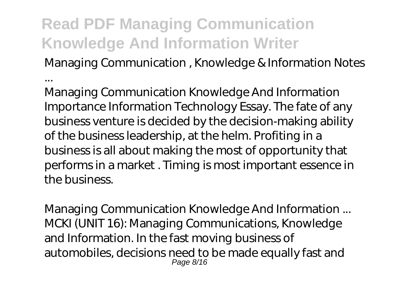...

Managing Communication , Knowledge & Information Notes

Managing Communication Knowledge And Information Importance Information Technology Essay. The fate of any business venture is decided by the decision-making ability of the business leadership, at the helm. Profiting in a business is all about making the most of opportunity that performs in a market . Timing is most important essence in the business.

Managing Communication Knowledge And Information ... MCKI (UNIT 16): Managing Communications, Knowledge and Information. In the fast moving business of automobiles, decisions need to be made equally fast and Page 8/16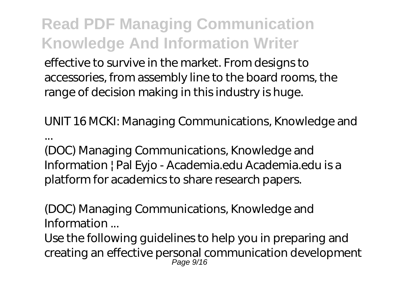effective to survive in the market. From designs to accessories, from assembly line to the board rooms, the range of decision making in this industry is huge.

UNIT 16 MCKI: Managing Communications, Knowledge and ...

(DOC) Managing Communications, Knowledge and Information | Pal Eyjo - Academia.edu Academia.edu is a platform for academics to share research papers.

(DOC) Managing Communications, Knowledge and Information ...

Use the following guidelines to help you in preparing and creating an effective personal communication development Page 9/16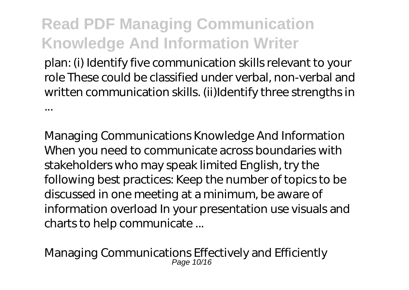plan: (i) Identify five communication skills relevant to your role These could be classified under verbal, non-verbal and written communication skills. (ii)Identify three strengths in ...

Managing Communications Knowledge And Information When you need to communicate across boundaries with stakeholders who may speak limited English, try the following best practices: Keep the number of topics to be discussed in one meeting at a minimum, be aware of information overload In your presentation use visuals and charts to help communicate ...

Managing Communications Effectively and Efficiently Page 10/16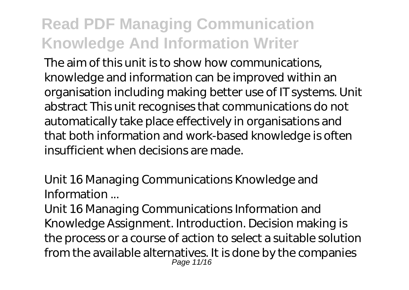The aim of this unit is to show how communications, knowledge and information can be improved within an organisation including making better use of IT systems. Unit abstract This unit recognises that communications do not automatically take place effectively in organisations and that both information and work-based knowledge is often insufficient when decisions are made.

Unit 16 Managing Communications Knowledge and Information ...

Unit 16 Managing Communications Information and Knowledge Assignment. Introduction. Decision making is the process or a course of action to select a suitable solution from the available alternatives. It is done by the companies Page 11/16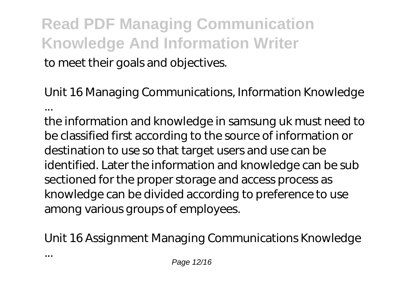#### **Read PDF Managing Communication Knowledge And Information Writer** to meet their goals and objectives.

Unit 16 Managing Communications, Information Knowledge ...

the information and knowledge in samsung uk must need to be classified first according to the source of information or destination to use so that target users and use can be identified. Later the information and knowledge can be sub sectioned for the proper storage and access process as knowledge can be divided according to preference to use among various groups of employees.

Unit 16 Assignment Managing Communications Knowledge

...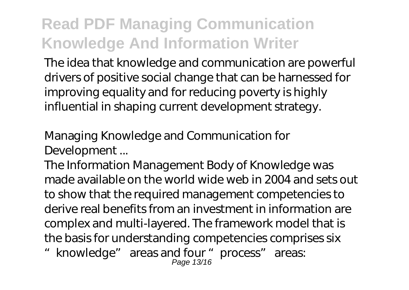The idea that knowledge and communication are powerful drivers of positive social change that can be harnessed for improving equality and for reducing poverty is highly influential in shaping current development strategy.

Managing Knowledge and Communication for Development ...

The Information Management Body of Knowledge was made available on the world wide web in 2004 and sets out to show that the required management competencies to derive real benefits from an investment in information are complex and multi-layered. The framework model that is the basis for understanding competencies comprises six

"knowledge" areas and four "process" areas: Page 13/16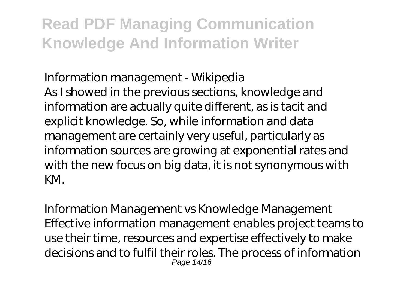Information management - Wikipedia As I showed in the previous sections, knowledge and information are actually quite different, as is tacit and explicit knowledge. So, while information and data management are certainly very useful, particularly as information sources are growing at exponential rates and with the new focus on big data, it is not synonymous with KM.

Information Management vs Knowledge Management Effective information management enables project teams to use their time, resources and expertise effectively to make decisions and to fulfil their roles. The process of information Page 14/16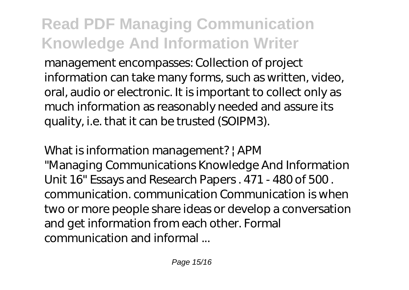management encompasses: Collection of project information can take many forms, such as written, video, oral, audio or electronic. It is important to collect only as much information as reasonably needed and assure its quality, i.e. that it can be trusted (SOIPM3).

What is information management? | APM "Managing Communications Knowledge And Information Unit 16" Essays and Research Papers . 471 - 480 of 500 . communication. communication Communication is when two or more people share ideas or develop a conversation and get information from each other. Formal communication and informal ...